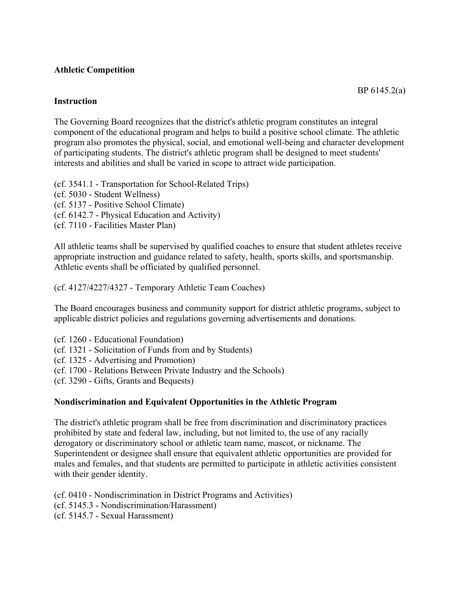# **Athletic Competition**

## **Instruction**

The Governing Board recognizes that the district's athletic program constitutes an integral component of the educational program and helps to build a positive school climate. The athletic program also promotes the physical, social, and emotional well-being and character development of participating students. The district's athletic program shall be designed to meet students' interests and abilities and shall be varied in scope to attract wide participation.

(cf. 3541.1 - Transportation for School-Related Trips) (cf. 5030 - Student Wellness) (cf. 5137 - Positive School Climate) (cf. 6142.7 - Physical Education and Activity) (cf. 7110 - Facilities Master Plan)

All athletic teams shall be supervised by qualified coaches to ensure that student athletes receive appropriate instruction and guidance related to safety, health, sports skills, and sportsmanship. Athletic events shall be officiated by qualified personnel.

(cf. 4127/4227/4327 - Temporary Athletic Team Coaches)

The Board encourages business and community support for district athletic programs, subject to applicable district policies and regulations governing advertisements and donations.

- (cf. 1260 Educational Foundation)
- (cf. 1321 Solicitation of Funds from and by Students)
- (cf. 1325 Advertising and Promotion)
- (cf. 1700 Relations Between Private Industry and the Schools)
- (cf. 3290 Gifts, Grants and Bequests)

## **Nondiscrimination and Equivalent Opportunities in the Athletic Program**

The district's athletic program shall be free from discrimination and discriminatory practices prohibited by state and federal law, including, but not limited to, the use of any racially derogatory or discriminatory school or athletic team name, mascot, or nickname. The Superintendent or designee shall ensure that equivalent athletic opportunities are provided for males and females, and that students are permitted to participate in athletic activities consistent with their gender identity.

(cf. 0410 - Nondiscrimination in District Programs and Activities)

- (cf. 5145.3 Nondiscrimination/Harassment)
- (cf. 5145.7 Sexual Harassment)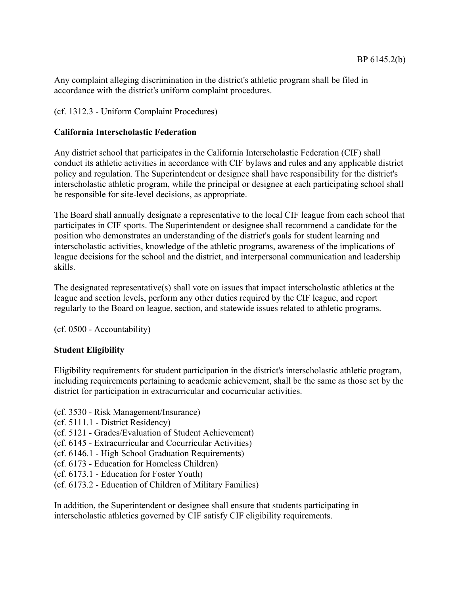Any complaint alleging discrimination in the district's athletic program shall be filed in accordance with the district's uniform complaint procedures.

# (cf. 1312.3 - Uniform Complaint Procedures)

## **California Interscholastic Federation**

Any district school that participates in the California Interscholastic Federation (CIF) shall conduct its athletic activities in accordance with CIF bylaws and rules and any applicable district policy and regulation. The Superintendent or designee shall have responsibility for the district's interscholastic athletic program, while the principal or designee at each participating school shall be responsible for site-level decisions, as appropriate.

The Board shall annually designate a representative to the local CIF league from each school that participates in CIF sports. The Superintendent or designee shall recommend a candidate for the position who demonstrates an understanding of the district's goals for student learning and interscholastic activities, knowledge of the athletic programs, awareness of the implications of league decisions for the school and the district, and interpersonal communication and leadership skills.

The designated representative(s) shall vote on issues that impact interscholastic athletics at the league and section levels, perform any other duties required by the CIF league, and report regularly to the Board on league, section, and statewide issues related to athletic programs.

(cf. 0500 - Accountability)

# **Student Eligibility**

Eligibility requirements for student participation in the district's interscholastic athletic program, including requirements pertaining to academic achievement, shall be the same as those set by the district for participation in extracurricular and cocurricular activities.

- (cf. 3530 Risk Management/Insurance)
- (cf. 5111.1 District Residency)
- (cf. 5121 Grades/Evaluation of Student Achievement)
- (cf. 6145 Extracurricular and Cocurricular Activities)
- (cf. 6146.1 High School Graduation Requirements)
- (cf. 6173 Education for Homeless Children)
- (cf. 6173.1 Education for Foster Youth)
- (cf. 6173.2 Education of Children of Military Families)

In addition, the Superintendent or designee shall ensure that students participating in interscholastic athletics governed by CIF satisfy CIF eligibility requirements.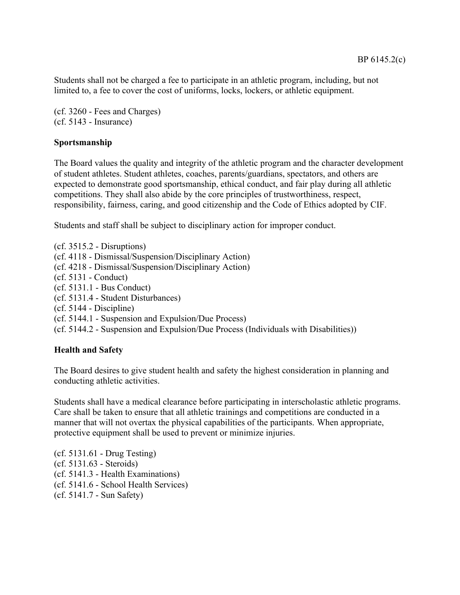Students shall not be charged a fee to participate in an athletic program, including, but not limited to, a fee to cover the cost of uniforms, locks, lockers, or athletic equipment.

(cf. 3260 - Fees and Charges) (cf. 5143 - Insurance)

# **Sportsmanship**

The Board values the quality and integrity of the athletic program and the character development of student athletes. Student athletes, coaches, parents/guardians, spectators, and others are expected to demonstrate good sportsmanship, ethical conduct, and fair play during all athletic competitions. They shall also abide by the core principles of trustworthiness, respect, responsibility, fairness, caring, and good citizenship and the Code of Ethics adopted by CIF.

Students and staff shall be subject to disciplinary action for improper conduct.

(cf. 3515.2 - Disruptions) (cf. 4118 - Dismissal/Suspension/Disciplinary Action) (cf. 4218 - Dismissal/Suspension/Disciplinary Action) (cf. 5131 - Conduct) (cf. 5131.1 - Bus Conduct) (cf. 5131.4 - Student Disturbances) (cf. 5144 - Discipline) (cf. 5144.1 - Suspension and Expulsion/Due Process) (cf. 5144.2 - Suspension and Expulsion/Due Process (Individuals with Disabilities))

## **Health and Safety**

The Board desires to give student health and safety the highest consideration in planning and conducting athletic activities.

Students shall have a medical clearance before participating in interscholastic athletic programs. Care shall be taken to ensure that all athletic trainings and competitions are conducted in a manner that will not overtax the physical capabilities of the participants. When appropriate, protective equipment shall be used to prevent or minimize injuries.

(cf. 5131.61 - Drug Testing) (cf. 5131.63 - Steroids) (cf. 5141.3 - Health Examinations) (cf. 5141.6 - School Health Services) (cf. 5141.7 - Sun Safety)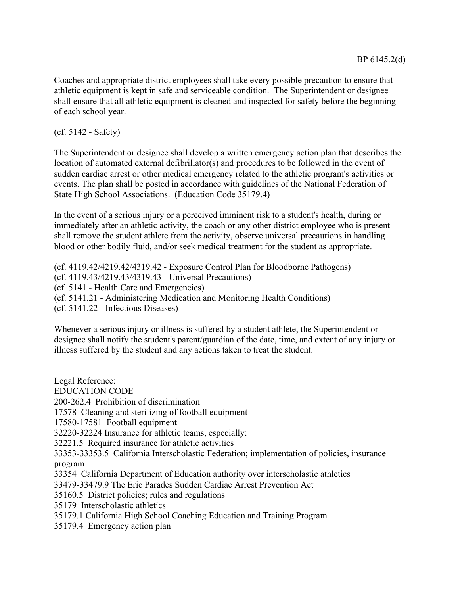Coaches and appropriate district employees shall take every possible precaution to ensure that athletic equipment is kept in safe and serviceable condition. The Superintendent or designee shall ensure that all athletic equipment is cleaned and inspected for safety before the beginning of each school year.

(cf. 5142 - Safety)

The Superintendent or designee shall develop a written emergency action plan that describes the location of automated external defibrillator(s) and procedures to be followed in the event of sudden cardiac arrest or other medical emergency related to the athletic program's activities or events. The plan shall be posted in accordance with guidelines of the National Federation of State High School Associations. (Education Code 35179.4)

In the event of a serious injury or a perceived imminent risk to a student's health, during or immediately after an athletic activity, the coach or any other district employee who is present shall remove the student athlete from the activity, observe universal precautions in handling blood or other bodily fluid, and/or seek medical treatment for the student as appropriate.

(cf. 4119.42/4219.42/4319.42 - Exposure Control Plan for Bloodborne Pathogens) (cf. 4119.43/4219.43/4319.43 - Universal Precautions) (cf. 5141 - Health Care and Emergencies) (cf. 5141.21 - Administering Medication and Monitoring Health Conditions) (cf. 5141.22 - Infectious Diseases)

Whenever a serious injury or illness is suffered by a student athlete, the Superintendent or designee shall notify the student's parent/guardian of the date, time, and extent of any injury or illness suffered by the student and any actions taken to treat the student.

Legal Reference: EDUCATION CODE 200-262.4 Prohibition of discrimination 17578 Cleaning and sterilizing of football equipment 17580-17581 Football equipment 32220-32224 Insurance for athletic teams, especially: 32221.5 Required insurance for athletic activities 33353-33353.5 California Interscholastic Federation; implementation of policies, insurance program 33354 California Department of Education authority over interscholastic athletics 33479-33479.9 The Eric Parades Sudden Cardiac Arrest Prevention Act 35160.5 District policies; rules and regulations 35179 Interscholastic athletics 35179.1 California High School Coaching Education and Training Program 35179.4 Emergency action plan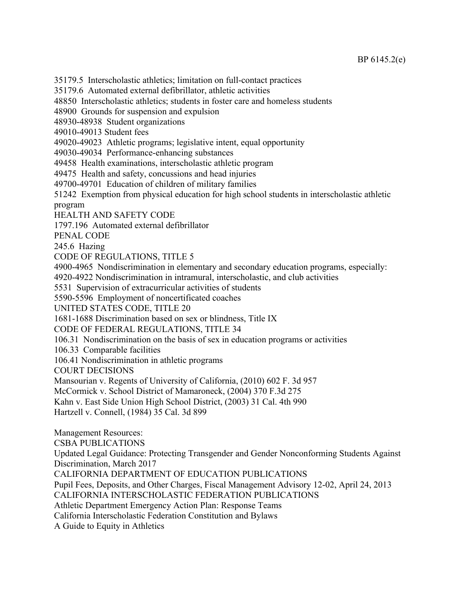35179.5 Interscholastic athletics; limitation on full-contact practices

35179.6 Automated external defibrillator, athletic activities

48850 Interscholastic athletics; students in foster care and homeless students

48900 Grounds for suspension and expulsion

48930-48938 Student organizations

49010-49013 Student fees

49020-49023 Athletic programs; legislative intent, equal opportunity

49030-49034 Performance-enhancing substances

49458 Health examinations, interscholastic athletic program

49475 Health and safety, concussions and head injuries

49700-49701 Education of children of military families

51242 Exemption from physical education for high school students in interscholastic athletic program

HEALTH AND SAFETY CODE

1797.196 Automated external defibrillator

PENAL CODE

245.6 Hazing

CODE OF REGULATIONS, TITLE 5

4900-4965 Nondiscrimination in elementary and secondary education programs, especially:

4920-4922 Nondiscrimination in intramural, interscholastic, and club activities

5531 Supervision of extracurricular activities of students

5590-5596 Employment of noncertificated coaches

UNITED STATES CODE, TITLE 20

1681-1688 Discrimination based on sex or blindness, Title IX

CODE OF FEDERAL REGULATIONS, TITLE 34

106.31 Nondiscrimination on the basis of sex in education programs or activities

106.33 Comparable facilities

106.41 Nondiscrimination in athletic programs

COURT DECISIONS

Mansourian v. Regents of University of California, (2010) 602 F. 3d 957

McCormick v. School District of Mamaroneck, (2004) 370 F.3d 275

Kahn v. East Side Union High School District, (2003) 31 Cal. 4th 990

Hartzell v. Connell, (1984) 35 Cal. 3d 899

Management Resources: CSBA PUBLICATIONS Updated Legal Guidance: Protecting Transgender and Gender Nonconforming Students Against Discrimination, March 2017 CALIFORNIA DEPARTMENT OF EDUCATION PUBLICATIONS Pupil Fees, Deposits, and Other Charges, Fiscal Management Advisory 12-02, April 24, 2013 CALIFORNIA INTERSCHOLASTIC FEDERATION PUBLICATIONS Athletic Department Emergency Action Plan: Response Teams California Interscholastic Federation Constitution and Bylaws A Guide to Equity in Athletics